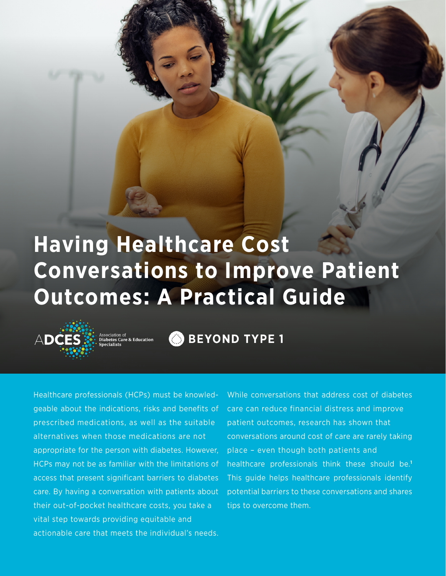## **Having Healthcare Cost Conversations to Improve Patient Outcomes: A Practical Guide**



Association of<br>**Diabetes Care & Education** 

BEYOND TYPE 1

Healthcare professionals (HCPs) must be knowledgeable about the indications, risks and benefits of prescribed medications, as well as the suitable alternatives when those medications are not appropriate for the person with diabetes. However, HCPs may not be as familiar with the limitations of access that present significant barriers to diabetes care. By having a conversation with patients about their out-of-pocket healthcare costs, you take a vital step towards providing equitable and actionable care that meets the individual's needs.

While conversations that address cost of diabetes care can reduce financial distress and improve patient outcomes, research has shown that conversations around cost of care are rarely taking place – even though both patients and healthcare professionals think these should be.**<sup>1</sup>** This guide helps healthcare professionals identify potential barriers to these conversations and shares tips to overcome them.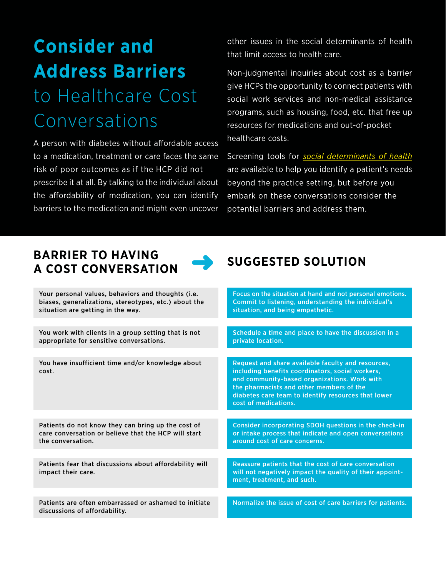### **Consider and Address Barriers** to Healthcare Cost Conversations

A person with diabetes without affordable access to a medication, treatment or care faces the same risk of poor outcomes as if the HCP did not prescribe it at all. By talking to the individual about the affordability of medication, you can identify barriers to the medication and might even uncover

other issues in the social determinants of health that limit access to health care.

Non-judgmental inquiries about cost as a barrier give HCPs the opportunity to connect patients with social work services and non-medical assistance programs, such as housing, food, etc. that free up resources for medications and out-of-pocket healthcare costs.

Screening tools for *[social determinants of health](https://www.aafp.org/journals/fpm/blogs/inpractice/entry/social_determinants.html)* are available to help you identify a patient's needs beyond the practice setting, but before you embark on these conversations consider the potential barriers and address them.

#### **BARRIER TO HAVING A COST CONVERSATION SUGGESTED SOLUTION**



| Your personal values, behaviors and thoughts (i.e.<br>biases, generalizations, stereotypes, etc.) about the<br>situation are getting in the way. | Focus on the situation at hand and not personal emotions.<br>Commit to listening, understanding the individual's<br>situation, and being empathetic.                                                                                                                              |
|--------------------------------------------------------------------------------------------------------------------------------------------------|-----------------------------------------------------------------------------------------------------------------------------------------------------------------------------------------------------------------------------------------------------------------------------------|
|                                                                                                                                                  |                                                                                                                                                                                                                                                                                   |
| You work with clients in a group setting that is not<br>appropriate for sensitive conversations.                                                 | Schedule a time and place to have the discussion in a<br>private location.                                                                                                                                                                                                        |
|                                                                                                                                                  |                                                                                                                                                                                                                                                                                   |
| You have insufficient time and/or knowledge about<br>cost.                                                                                       | Request and share available faculty and resources,<br>including benefits coordinators, social workers,<br>and community-based organizations. Work with<br>the pharmacists and other members of the<br>diabetes care team to identify resources that lower<br>cost of medications. |
|                                                                                                                                                  |                                                                                                                                                                                                                                                                                   |
| Patients do not know they can bring up the cost of<br>care conversation or believe that the HCP will start<br>the conversation.                  | Consider incorporating SDOH questions in the check-in<br>or intake process that indicate and open conversations<br>around cost of care concerns.                                                                                                                                  |
|                                                                                                                                                  |                                                                                                                                                                                                                                                                                   |
| Patients fear that discussions about affordability will<br>impact their care.                                                                    | Reassure patients that the cost of care conversation<br>will not negatively impact the quality of their appoint-<br>ment, treatment, and such.                                                                                                                                    |
|                                                                                                                                                  |                                                                                                                                                                                                                                                                                   |
| Patients are often embarrassed or ashamed to initiate<br>discussions of affordability.                                                           | Normalize the issue of cost of care barriers for patients.                                                                                                                                                                                                                        |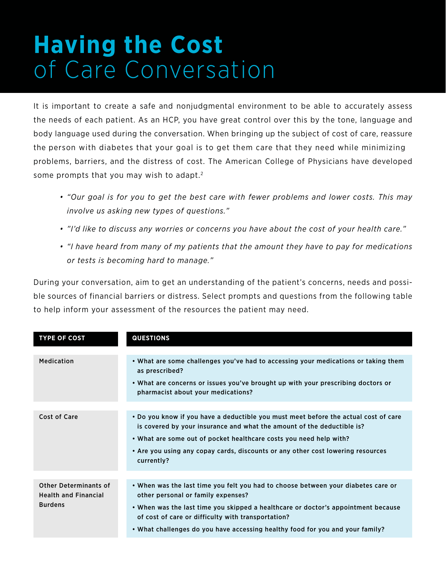## **Having the Cost** of Care Conversation

It is important to create a safe and nonjudgmental environment to be able to accurately assess the needs of each patient. As an HCP, you have great control over this by the tone, language and body language used during the conversation. When bringing up the subject of cost of care, reassure the person with diabetes that your goal is to get them care that they need while minimizing problems, barriers, and the distress of cost. The American College of Physicians have developed some prompts that you may wish to adapt.<sup>2</sup>

- *• "Our goal is for you to get the best care with fewer problems and lower costs. This may involve us asking new types of questions."*
- *• "I'd like to discuss any worries or concerns you have about the cost of your health care."*
- *• "I have heard from many of my patients that the amount they have to pay for medications or tests is becoming hard to manage."*

During your conversation, aim to get an understanding of the patient's concerns, needs and possible sources of financial barriers or distress. Select prompts and questions from the following table to help inform your assessment of the resources the patient may need.

| <b>TYPE OF COST</b>                                                           | <b>QUESTIONS</b>                                                                                                                                                                                                                                                                                                                                    |
|-------------------------------------------------------------------------------|-----------------------------------------------------------------------------------------------------------------------------------------------------------------------------------------------------------------------------------------------------------------------------------------------------------------------------------------------------|
| <b>Medication</b>                                                             | • What are some challenges you've had to accessing your medications or taking them<br>as prescribed?<br>• What are concerns or issues you've brought up with your prescribing doctors or<br>pharmacist about your medications?                                                                                                                      |
| <b>Cost of Care</b>                                                           | . Do you know if you have a deductible you must meet before the actual cost of care<br>is covered by your insurance and what the amount of the deductible is?<br>• What are some out of pocket healthcare costs you need help with?<br>• Are you using any copay cards, discounts or any other cost lowering resources<br>currently?                |
| <b>Other Determinants of</b><br><b>Health and Financial</b><br><b>Burdens</b> | • When was the last time you felt you had to choose between your diabetes care or<br>other personal or family expenses?<br>• When was the last time you skipped a healthcare or doctor's appointment because<br>of cost of care or difficulty with transportation?<br>• What challenges do you have accessing healthy food for you and your family? |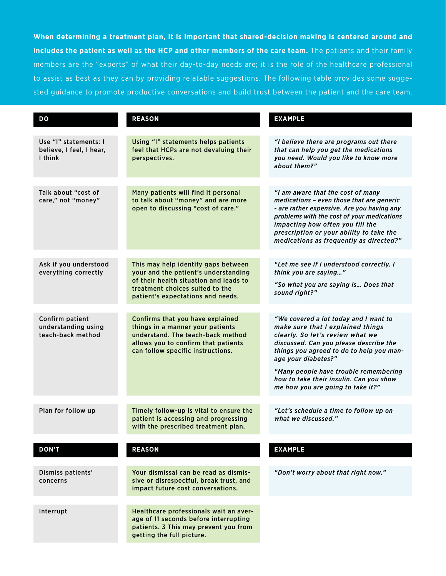**When determining a treatment plan, it is important that shared-decision making is centered around and includes the patient as well as the HCP and other members of the care team.** The patients and their family members are the "experts" of what their day-to-day needs are; it is the role of the healthcare professional to assist as best as they can by providing relatable suggestions. The following table provides some suggested guidance to promote productive conversations and build trust between the patient and the care team.

| DO                                                           | <b>REASON</b>                                                                                                                                                                                 | <b>EXAMPLE</b>                                                                                                                                                                                                                                                                                                                                       |
|--------------------------------------------------------------|-----------------------------------------------------------------------------------------------------------------------------------------------------------------------------------------------|------------------------------------------------------------------------------------------------------------------------------------------------------------------------------------------------------------------------------------------------------------------------------------------------------------------------------------------------------|
| Use "I" statements: I<br>believe, I feel, I hear,<br>I think | Using "I" statements helps patients<br>feel that HCPs are not devaluing their<br>perspectives.                                                                                                | "I believe there are programs out there<br>that can help you get the medications<br>you need. Would you like to know more<br>about them?"                                                                                                                                                                                                            |
| Talk about "cost of<br>care," not "money"                    | Many patients will find it personal<br>to talk about "money" and are more<br>open to discussing "cost of care."                                                                               | "I am aware that the cost of many<br>medications - even those that are generic<br>- are rather expensive. Are you having any<br>problems with the cost of your medications<br>impacting how often you fill the<br>prescription or your ability to take the<br>medications as frequently as directed?"                                                |
| Ask if you understood<br>everything correctly                | This may help identify gaps between<br>your and the patient's understanding<br>of their health situation and leads to<br>treatment choices suited to the<br>patient's expectations and needs. | "Let me see if I understood correctly. I<br>think you are saying"<br>"So what you are saying is Does that<br>sound right?"                                                                                                                                                                                                                           |
| Confirm patient<br>understanding using<br>teach-back method  | Confirms that you have explained<br>things in a manner your patients<br>understand. The teach-back method<br>allows you to confirm that patients<br>can follow specific instructions.         | "We covered a lot today and I want to<br>make sure that I explained things<br>clearly. So let's review what we<br>discussed. Can you please describe the<br>things you agreed to do to help you man-<br>age your diabetes?"<br>"Many people have trouble remembering<br>how to take their insulin. Can you show<br>me how you are going to take it?" |
| Plan for follow up                                           | Timely follow-up is vital to ensure the<br>patient is accessing and progressing<br>with the prescribed treatment plan.                                                                        | "Let's schedule a time to follow up on<br>what we discussed."                                                                                                                                                                                                                                                                                        |
| <b>DON'T</b>                                                 | <b>REASON</b>                                                                                                                                                                                 | <b>EXAMPLE</b>                                                                                                                                                                                                                                                                                                                                       |
|                                                              |                                                                                                                                                                                               |                                                                                                                                                                                                                                                                                                                                                      |
| Dismiss patients'<br>concerns                                | Your dismissal can be read as dismis-<br>sive or disrespectful, break trust, and<br>impact future cost conversations.                                                                         | "Don't worry about that right now."                                                                                                                                                                                                                                                                                                                  |
| Interrupt                                                    | Healthcare professionals wait an aver-<br>age of 11 seconds before interrupting<br>patients. 3 This may prevent you from<br>getting the full picture.                                         |                                                                                                                                                                                                                                                                                                                                                      |